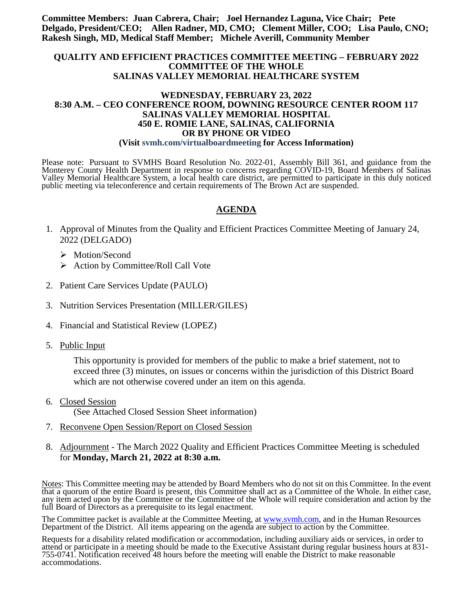**Committee Members: Juan Cabrera, Chair; Joel Hernandez Laguna, Vice Chair; Pete Delgado, President/CEO; Allen Radner, MD, CMO; Clement Miller, COO; Lisa Paulo, CNO; Rakesh Singh, MD, Medical Staff Member; Michele Averill, Community Member**

#### **QUALITY AND EFFICIENT PRACTICES COMMITTEE MEETING – FEBRUARY 2022 COMMITTEE OF THE WHOLE SALINAS VALLEY MEMORIAL HEALTHCARE SYSTEM**

#### **WEDNESDAY, FEBRUARY 23, 2022 8:30 A.M. – CEO CONFERENCE ROOM, DOWNING RESOURCE CENTER ROOM 117 SALINAS VALLEY MEMORIAL HOSPITAL 450 E. ROMIE LANE, SALINAS, CALIFORNIA OR BY PHONE OR VIDEO (Visit svmh.com/virtualboardmeeting for Access Information)**

Please note: Pursuant to SVMHS Board Resolution No. 2022-01, Assembly Bill 361, and guidance from the Monterey County Health Department in response to concerns regarding COVID-19, Board Members of Salinas Valley Memorial Healthcare System, a local health care district, are permitted to participate in this duly noticed public meeting via teleconference and certain requirements of The Brown Act are suspended.

### **AGENDA**

- 1. Approval of Minutes from the Quality and Efficient Practices Committee Meeting of January 24, 2022 (DELGADO)
	- > Motion/Second
	- $\triangleright$  Action by Committee/Roll Call Vote
- 2. Patient Care Services Update (PAULO)
- 3. Nutrition Services Presentation (MILLER/GILES)
- 4. Financial and Statistical Review (LOPEZ)
- 5. Public Input

This opportunity is provided for members of the public to make a brief statement, not to exceed three (3) minutes, on issues or concerns within the jurisdiction of this District Board which are not otherwise covered under an item on this agenda.

- 6. Closed Session (See Attached Closed Session Sheet information)
- 7. Reconvene Open Session/Report on Closed Session
- 8. Adjournment The March 2022 Quality and Efficient Practices Committee Meeting is scheduled for **Monday, March 21, 2022 at 8:30 a.m.**

Notes: This Committee meeting may be attended by Board Members who do not sit on this Committee. In the event that a quorum of the entire Board is present, this Committee shall act as a Committee of the Whole. In either case, any item acted upon by the Committee or the Committee of the Whole will require consideration and action by the full Board of Directors as a prerequisite to its legal enactment.

The Committee packet is available at the Committee Meeting, at [www.svmh.com,](http://www.svmh.com/) and in the Human Resources Department of the District. All items appearing on the agenda are subject to action by the Committee.

Requests for a disability related modification or accommodation, including auxiliary aids or services, in order to attend or participate in a meeting should be made to the Executive Assistant during regular business hours at 831- 755-0741. Notification received 48 hours before the meeting will enable the District to make reasonable accommodations.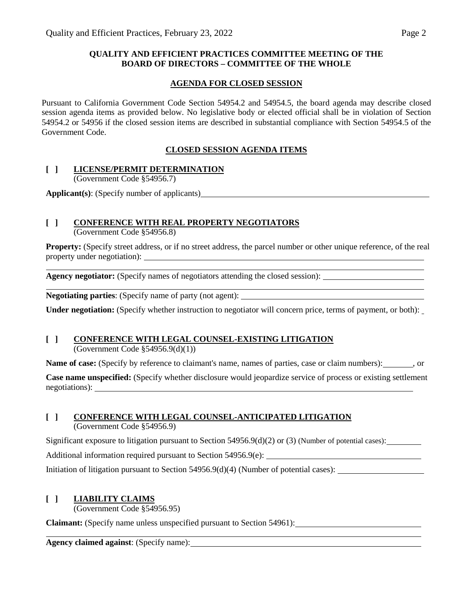### **QUALITY AND EFFICIENT PRACTICES COMMITTEE MEETING OF THE BOARD OF DIRECTORS – COMMITTEE OF THE WHOLE**

### **AGENDA FOR CLOSED SESSION**

Pursuant to California Government Code Section 54954.2 and 54954.5, the board agenda may describe closed session agenda items as provided below. No legislative body or elected official shall be in violation of Section 54954.2 or 54956 if the closed session items are described in substantial compliance with Section 54954.5 of the Government Code.

## **CLOSED SESSION AGENDA ITEMS**

## **[ ] LICENSE/PERMIT DETERMINATION**

(Government Code §54956.7)

**Applicant(s)**: (Specify number of applicants)

# **[ ] CONFERENCE WITH REAL PROPERTY NEGOTIATORS**

(Government Code §54956.8)

**Property:** (Specify street address, or if no street address, the parcel number or other unique reference, of the real property under negotiation):

**Agency negotiator:** (Specify names of negotiators attending the closed session):

**Negotiating parties**: (Specify name of party (not agent):

**Under negotiation:** (Specify whether instruction to negotiator will concern price, terms of payment, or both):

# **[ ] CONFERENCE WITH LEGAL COUNSEL-EXISTING LITIGATION**

(Government Code §54956.9(d)(1))

**Name of case:** (Specify by reference to claimant's name, names of parties, case or claim numbers):  $\cdot$ , or

**Case name unspecified:** (Specify whether disclosure would jeopardize service of process or existing settlement negotiations):

## **[ ] CONFERENCE WITH LEGAL COUNSEL-ANTICIPATED LITIGATION**

(Government Code §54956.9)

Significant exposure to litigation pursuant to Section 54956.9(d)(2) or (3) (Number of potential cases):

Additional information required pursuant to Section 54956.9(e):

Initiation of litigation pursuant to Section 54956.9(d)(4) (Number of potential cases):

# **[ ] LIABILITY CLAIMS**

(Government Code §54956.95)

**Claimant:** (Specify name unless unspecified pursuant to Section 54961):

**Agency claimed against**: (Specify name):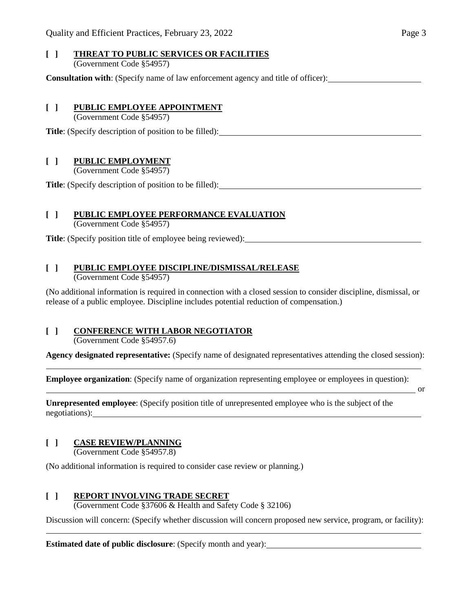#### **[ ] THREAT TO PUBLIC SERVICES OR FACILITIES** (Government Code §54957)

**Consultation with**: (Specify name of law enforcement agency and title of officer):

#### **[ ] PUBLIC EMPLOYEE APPOINTMENT**

(Government Code §54957)

**Title**: (Specify description of position to be filled):

### **[ ] PUBLIC EMPLOYMENT**

(Government Code §54957)

**Title**: (Specify description of position to be filled):

### **[ ] PUBLIC EMPLOYEE PERFORMANCE EVALUATION**

(Government Code §54957)

**Title**: (Specify position title of employee being reviewed):

### **[ ] PUBLIC EMPLOYEE DISCIPLINE/DISMISSAL/RELEASE**

(Government Code §54957)

(No additional information is required in connection with a closed session to consider discipline, dismissal, or release of a public employee. Discipline includes potential reduction of compensation.)

# **[ ] CONFERENCE WITH LABOR NEGOTIATOR**

(Government Code §54957.6)

**Agency designated representative:** (Specify name of designated representatives attending the closed session):

**Employee organization**: (Specify name of organization representing employee or employees in question):

or

**Unrepresented employee**: (Specify position title of unrepresented employee who is the subject of the negotiations):

## **[ ] CASE REVIEW/PLANNING**

(Government Code §54957.8)

(No additional information is required to consider case review or planning.)

### **[ ] REPORT INVOLVING TRADE SECRET**

(Government Code §37606 & Health and Safety Code § 32106)

Discussion will concern: (Specify whether discussion will concern proposed new service, program, or facility):

**Estimated date of public disclosure**: (Specify month and year):